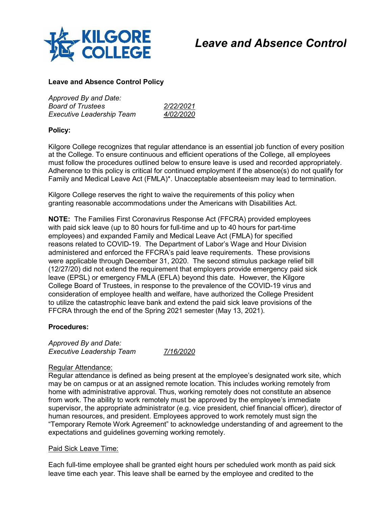

# *Leave and Absence Control*

## **Leave and Absence Control Policy**

| Approved By and Date:            |                  |
|----------------------------------|------------------|
| <b>Board of Trustees</b>         | 2/22/2021        |
| <b>Executive Leadership Team</b> | <i>4/02/2020</i> |

# **Policy:**

Kilgore College recognizes that regular attendance is an essential job function of every position at the College. To ensure continuous and efficient operations of the College, all employees must follow the procedures outlined below to ensure leave is used and recorded appropriately. Adherence to this policy is critical for continued employment if the absence(s) do not qualify for Family and Medical Leave Act (FMLA)\*. Unacceptable absenteeism may lead to termination.

Kilgore College reserves the right to waive the requirements of this policy when granting reasonable accommodations under the Americans with Disabilities Act.

**NOTE:** The Families First Coronavirus Response Act (FFCRA) provided employees with paid sick leave (up to 80 hours for full-time and up to 40 hours for part-time employees) and expanded Family and Medical Leave Act (FMLA) for specified reasons related to COVID-19. The Department of Labor's Wage and Hour Division administered and enforced the FFCRA's paid leave requirements. These provisions were applicable through December 31, 2020. The second stimulus package relief bill (12/27/20) did not extend the requirement that employers provide emergency paid sick leave (EPSL) or emergency FMLA (EFLA) beyond this date. However, the Kilgore College Board of Trustees, in response to the prevalence of the COVID-19 virus and consideration of employee health and welfare, have authorized the College President to utilize the catastrophic leave bank and extend the paid sick leave provisions of the FFCRA through the end of the Spring 2021 semester (May 13, 2021).

#### **Procedures:**

*Approved By and Date: Executive Leadership Team 7/16/2020*

#### Regular Attendance:

Regular attendance is defined as being present at the employee's designated work site, which may be on campus or at an assigned remote location. This includes working remotely from home with administrative approval. Thus, working remotely does not constitute an absence from work. The ability to work remotely must be approved by the employee's immediate supervisor, the appropriate administrator (e.g. vice president, chief financial officer), director of human resources, and president. Employees approved to work remotely must sign the "Temporary Remote Work Agreement" to acknowledge understanding of and agreement to the expectations and guidelines governing working remotely.

#### Paid Sick Leave Time:

Each full-time employee shall be granted eight hours per scheduled work month as paid sick leave time each year. This leave shall be earned by the employee and credited to the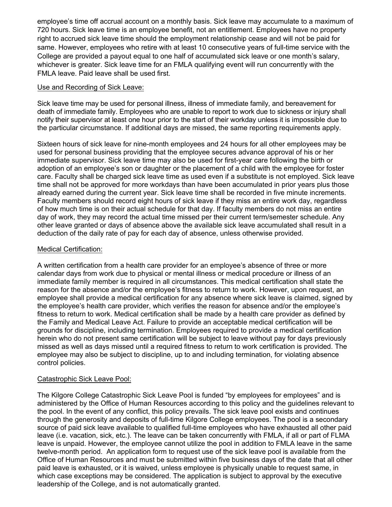employee's time off accrual account on a monthly basis. Sick leave may accumulate to a maximum of 720 hours. Sick leave time is an employee benefit, not an entitlement. Employees have no property right to accrued sick leave time should the employment relationship cease and will not be paid for same. However, employees who retire with at least 10 consecutive years of full-time service with the College are provided a payout equal to one half of accumulated sick leave or one month's salary, whichever is greater. Sick leave time for an FMLA qualifying event will run concurrently with the FMLA leave. Paid leave shall be used first.

## Use and Recording of Sick Leave:

Sick leave time may be used for personal illness, illness of immediate family, and bereavement for death of immediate family. Employees who are unable to report to work due to sickness or injury shall notify their supervisor at least one hour prior to the start of their workday unless it is impossible due to the particular circumstance. If additional days are missed, the same reporting requirements apply.

Sixteen hours of sick leave for nine-month employees and 24 hours for all other employees may be used for personal business providing that the employee secures advance approval of his or her immediate supervisor. Sick leave time may also be used for first-year care following the birth or adoption of an employee's son or daughter or the placement of a child with the employee for foster care. Faculty shall be charged sick leave time as used even if a substitute is not employed. Sick leave time shall not be approved for more workdays than have been accumulated in prior years plus those already earned during the current year. Sick leave time shall be recorded in five minute increments. Faculty members should record eight hours of sick leave if they miss an entire work day, regardless of how much time is on their actual schedule for that day. If faculty members do not miss an entire day of work, they may record the actual time missed per their current term/semester schedule. Any other leave granted or days of absence above the available sick leave accumulated shall result in a deduction of the daily rate of pay for each day of absence, unless otherwise provided.

## Medical Certification:

A written certification from a health care provider for an employee's absence of three or more calendar days from work due to physical or mental illness or medical procedure or illness of an immediate family member is required in all circumstances. This medical certification shall state the reason for the absence and/or the employee's fitness to return to work. However, upon request, an employee shall provide a medical certification for any absence where sick leave is claimed, signed by the employee's health care provider, which verifies the reason for absence and/or the employee's fitness to return to work. Medical certification shall be made by a health care provider as defined by the Family and Medical Leave Act. Failure to provide an acceptable medical certification will be grounds for discipline, including termination. Employees required to provide a medical certification herein who do not present same certification will be subject to leave without pay for days previously missed as well as days missed until a required fitness to return to work certification is provided. The employee may also be subject to discipline, up to and including termination, for violating absence control policies.

# Catastrophic Sick Leave Pool:

The Kilgore College Catastrophic Sick Leave Pool is funded "by employees for employees" and is administered by the Office of Human Resources according to this policy and the guidelines relevant to the pool. In the event of any conflict, this policy prevails. The sick leave pool exists and continues through the generosity and deposits of full-time Kilgore College employees. The pool is a secondary source of paid sick leave available to qualified full-time employees who have exhausted all other paid leave (i.e. vacation, sick, etc.). The leave can be taken concurrently with FMLA, if all or part of FLMA leave is unpaid. However, the employee cannot utilize the pool in addition to FMLA leave in the same twelve-month period. An application form to request use of the sick leave pool is available from the Office of Human Resources and must be submitted within five business days of the date that all other paid leave is exhausted, or it is waived, unless employee is physically unable to request same, in which case exceptions may be considered. The application is subject to approval by the executive leadership of the College, and is not automatically granted.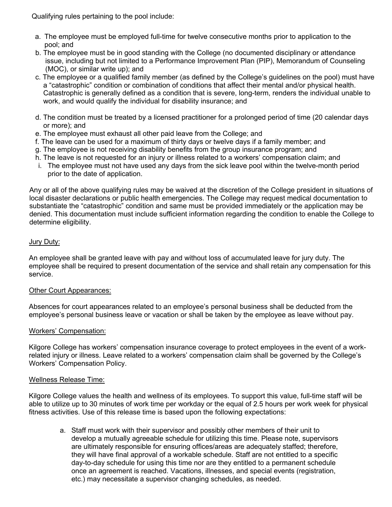Qualifying rules pertaining to the pool include:

- a. The employee must be employed full-time for twelve consecutive months prior to application to the pool; and
- b. The employee must be in good standing with the College (no documented disciplinary or attendance issue, including but not limited to a Performance Improvement Plan (PIP), Memorandum of Counseling (MOC), or similar write up); and
- c. The employee or a qualified family member (as defined by the College's guidelines on the pool) must have a "catastrophic" condition or combination of conditions that affect their mental and/or physical health. Catastrophic is generally defined as a condition that is severe, long-term, renders the individual unable to work, and would qualify the individual for disability insurance; and
- d. The condition must be treated by a licensed practitioner for a prolonged period of time (20 calendar days or more); and
- e. The employee must exhaust all other paid leave from the College; and
- f. The leave can be used for a maximum of thirty days or twelve days if a family member; and
- g. The employee is not receiving disability benefits from the group insurance program; and
- h. The leave is not requested for an injury or illness related to a workers' compensation claim; and
- i. The employee must not have used any days from the sick leave pool within the twelve-month period prior to the date of application.

Any or all of the above qualifying rules may be waived at the discretion of the College president in situations of local disaster declarations or public health emergencies. The College may request medical documentation to substantiate the "catastrophic" condition and same must be provided immediately or the application may be denied. This documentation must include sufficient information regarding the condition to enable the College to determine eligibility.

## Jury Duty:

An employee shall be granted leave with pay and without loss of accumulated leave for jury duty. The employee shall be required to present documentation of the service and shall retain any compensation for this service.

#### Other Court Appearances:

Absences for court appearances related to an employee's personal business shall be deducted from the employee's personal business leave or vacation or shall be taken by the employee as leave without pay.

#### Workers' Compensation:

Kilgore College has workers' compensation insurance coverage to protect employees in the event of a workrelated injury or illness. Leave related to a workers' compensation claim shall be governed by the College's Workers' Compensation Policy.

#### Wellness Release Time:

Kilgore College values the health and wellness of its employees. To support this value, full-time staff will be able to utilize up to 30 minutes of work time per workday or the equal of 2.5 hours per work week for physical fitness activities. Use of this release time is based upon the following expectations:

a. Staff must work with their supervisor and possibly other members of their unit to develop a mutually agreeable schedule for utilizing this time. Please note, supervisors are ultimately responsible for ensuring offices/areas are adequately staffed; therefore, they will have final approval of a workable schedule. Staff are not entitled to a specific day-to-day schedule for using this time nor are they entitled to a permanent schedule once an agreement is reached. Vacations, illnesses, and special events (registration, etc.) may necessitate a supervisor changing schedules, as needed.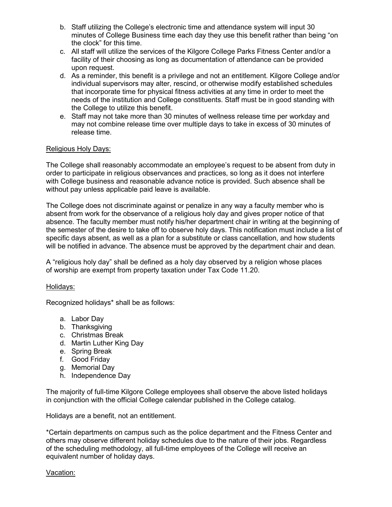- b. Staff utilizing the College's electronic time and attendance system will input 30 minutes of College Business time each day they use this benefit rather than being "on the clock" for this time.
- c. All staff will utilize the services of the Kilgore College Parks Fitness Center and/or a facility of their choosing as long as documentation of attendance can be provided upon request.
- d. As a reminder, this benefit is a privilege and not an entitlement. Kilgore College and/or individual supervisors may alter, rescind, or otherwise modify established schedules that incorporate time for physical fitness activities at any time in order to meet the needs of the institution and College constituents. Staff must be in good standing with the College to utilize this benefit.
- e. Staff may not take more than 30 minutes of wellness release time per workday and may not combine release time over multiple days to take in excess of 30 minutes of release time.

## Religious Holy Days:

The College shall reasonably accommodate an employee's request to be absent from duty in order to participate in religious observances and practices, so long as it does not interfere with College business and reasonable advance notice is provided. Such absence shall be without pay unless applicable paid leave is available.

The College does not discriminate against or penalize in any way a faculty member who is absent from work for the observance of a religious holy day and gives proper notice of that absence. The faculty member must notify his/her department chair in writing at the beginning of the semester of the desire to take off to observe holy days. This notification must include a list of specific days absent, as well as a plan for a substitute or class cancellation, and how students will be notified in advance. The absence must be approved by the department chair and dean.

A "religious holy day" shall be defined as a holy day observed by a religion whose places of worship are exempt from property taxation under Tax Code 11.20.

#### Holidays:

Recognized holidays\* shall be as follows:

- a. Labor Day
- b. Thanksgiving
- c. Christmas Break
- d. Martin Luther King Day
- e. Spring Break
- f. Good Friday
- g. Memorial Day
- h. Independence Day

The majority of full-time Kilgore College employees shall observe the above listed holidays in conjunction with the official College calendar published in the College catalog.

Holidays are a benefit, not an entitlement.

\*Certain departments on campus such as the police department and the Fitness Center and others may observe different holiday schedules due to the nature of their jobs. Regardless of the scheduling methodology, all full-time employees of the College will receive an equivalent number of holiday days.

#### Vacation: